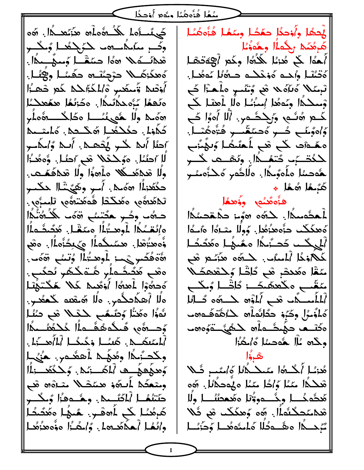ضَى مَسْتَرْمَا لَلْكُسْتَرْمَاءُ مِنْ مَنْكُمْ لَمِنْ هُوَ وكبر مككساهما للترجفات ومكتبر هْدُكُمْ ﴾ [الصَّفْسا وُسوَّسِدًا). ەَمْدَدَكَىلا حَرْجِنْسُه حَفْسًا وِيُحْسًا. أُوْتَعَظْ وَّسَعِّيبِ وَالْمُخَامَّلِكُمْ لَكُمْ شَعْبَالْ ەئھۇل ئۇەخكائىكال. ەخزئۇل ھۆھكئا بأهڤ كالحه للسنلرونه لأو ممض كَمُوْلَى حِكْكُما هُكْـْدَهْ. هَامْسْمَهُ إِحْمًا أَبِهِ حَكِنٍ يُحْفِيهِ. أَبِيهِ وَإِحْكَابِ لَا اَحِنُمَا. ٥وَكِنْدَلا شَي اَحِنُـا. وَّ٥هُـ;ُا وِلَا مْدْئَعْــكَلا هذْ1وْا وِلَا مْدْفَعْــم. حكُفۃڵا 30مگ. أُسو وهَيُسّْال هكْسو لَكَاهُدَهُمِ ۚ مَعُنَّتُمْ هُمَعُنَّتُهُمِ ۚ لَاسْبُرُمِ ۚ. حسُ وحُــرِ هَيَّنْتُمْ قَ٥ُ لَكُـ7ُّقُلُمُ! وإنْقَـٰدُا ۖ أُوهــُّ;اُ الْمَـٰقَـا بِ هَٰكُـفُـٰداُ ا ؤُەھتُوْھَا. ھى*ئى*گەلُّا ە<sub>ك</sub>ىڭُوم<sup>ُ</sup>اْ. ەھ رَّحْقَا وَالْمَسْرَ مِنْ أَلْفُسْ وَالْمَسْرِ مِنْ مَنْ مَنْ مِنْ مِنْ مِنْ مِنْ مِنْ ەھٓب مَحۡمۡشُـملَٰڔ ۿٞـقىڭىھَﺮ ئحكُـب . كَحْمَٰوْا ۖ لَمَحْمَا ۖ أَوْمُعِنَدُ ۖ خَلَا ۖ تَعَكُنَـٰهُمْنَا ۖ ۖ ەلَا أَهكُادِكُمْرٍ. وَلَا هُتَفْتُمْ لَكُمْغُضْرٍ. ثَهُوا هِ مَثْا وَصَّمَّى حَدِّيا ۚ مَى حَبُّا وُحـــةُى كَــكُـهِـقُـــملَٰا ـكُــكْتُنــــدُا أَمْلَىْتَمَكّْمْ. هَبْسًا وْخُبْخُتَا أَمْلَأُهْسَرَٰءَ }. وحْدَبْمُا ومُكَمِّمْ لْمَعْدُمِ. هَيْهِا وُهِجُهِجُمْ فَ ٱلْمُسْتَمَّةِ. وَحَكَمَّتُهُمْ الْمُ وعفكك لمُلهُوْ همّفْكْ عْسَاءُه هْلِ كَبِثُمْلِكِي لَمُهْدِ. هُنهُا مَعْثَمُا أَ والُعُـا ٱهدَٰهَـدها. وَٱمكُـٰأَ هؤُهِ هٰذُهُـا

لْحَمَّا وأَوْحَدًا حَمَّدًا وِمَّمًا فُزُّہِمُنَا |كَبِعُنَكَ رِجُداً! وِحَدَّدُنَا! أَهْدَا ﴾ هُزْءُا ﴾ هُزَاء وكُم أَصْحَفُ ا هُدَّسْلَ وُلَّكُمْ مُؤْشَكُمْ حَسُّلًا مُوَهُدًا. تَبِسًلاً هَالُهَلاً هُوَ وُتَنَسِرٍ هذْهَآ أَ كَب وْسِكْكًا وِيُوهُا إِسْزُيْا وَلَا لِمُعْلَى كُلِّي كُــم هُنّـم وَرُكِـئَــمر. أَلَّا أُهوَّا كَــ وًاەوۡئَب حُــــــــو ۚ ہَحنیۡقُسَـــو ۖ فُتُوهُنَـــلَ ۖ. مَعْـٰهَات کے شَے لَمسُکُـا وَیہُنَّے َكَخْصَبُو ِ مُتَمُكُمْلِ. وَنُشَــْعَدْ كُـــر َـعُّەھىمُا مادۇبىكال مالگەر كىڭگۇمى*ئى*ر \* Laó La (6 فأوقُلُم ووُهمُ لْمَحْمَىكَ ). كَمَّە 30ْمِز حَكَمَّحْسُكَا ەُھككُ دَوْھدُوُدا. وُولَّا مْدَاهُ اَمْدُا آلمركَـــد كَحــزُمكُا معُمكُــا مكَثَمتُــا كَلَّاوْهُا أَلْمَسَّابٍ لِمَسْوَّهِ مَنْ تَصْلُوا مْلَى مَمْلَا مَعْدَثَہِ شَبِ كُاشًا وَحْشَرْهَكُمْ ۖ مَقِّبٍ مكْعَمِّدَ: دَاتْسا وُحْب لْمُلْمَسِيَّفٍ هَي أَلْمَوْهِ لِمَسْهُو مُسَالَّلًا |َمَاذُنُولَ وِكَبُوْ حَكَالُهَالَهِ كَاهُنْهُ عَهْد وَكَتَــِمْـ دَهُنگَــه أَمْ كَــدْهُنُيْــةَوُهِ مِـــةَ إوكاه مُمَّا حُدْدَا وَالْحَدَّا <u>هُ. أ</u> هُدْمًا أَكْـدُا مُمْكَـدُا وَامْبَـرٍ ثَـلا هَٰذُ اللَّهُ عَمَّا وَاكُمْ مَمَّا مِهْجَمَا الْمَكْفَاءِ. كَعِدُّه حُــــا وخُــــووُّلْا وكَعِدْتُـــا ولَا تَعْمَمُحَكْنُهَ اللَّهِ وَمَعَكَّبٍ مَّع قُلا تَبْحِــدًا مِثْــوكُلَا مَامْدُومُـــلَ وَحَزُــٰـل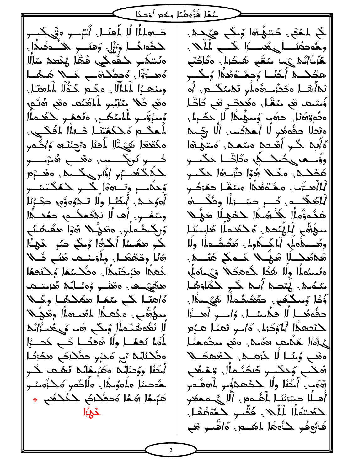سُمُا قُزُوهُمُا وهُو أَوْحِجُا

دْهالماً لَا لَمَعْلَىٰ أُنْبَسِرِ مِقْكِسِرِ لْحَدَّدَاهُــا وَرْزَلَ. وَقُلْبِ لِلْأَحْمَدُالِ. وَمُتَكَمِرٍ حَقَّوحُي قَقَّا لِحْعَظ مَالًا ەَھەُوَّا. وَحِثْلَاھْب كَسَلا كَمھُسا ومتعبرًا لْمَلَمْلًا. مكْمِ كَتْمَلُّا لْمَاهِنَا. ەھْع ئُىلا مُنْزَىُبىر لْمُلَاھُنَى ەھْع ھُلُدِي وَمِبْزَقُسِ الْمُمَكَّبِ. 20هي لكعماًا لمُمكَّم مَحْكَمُتِنَا دَالًا الْفَكِّي. مكَعْتَمَا هَيُنَّاا لَمَا الْكُلُّ مَرْكِنْتُ وَاحْتَمْ كُـــــــو كَـوِيكْــــــــعب. 36هــــــ %مترمــــــــو لْمُكْتَعْسَبُهِ إِوَّٰٓا مِكْسِكْ ، هَشْتُوْمَ وُهدًا وِتْدْ10 إِكْسِرْ لِمَكْتَسَبُ أُهوَّهــدَ . أَمَكْنُـا وِلَا تَــدُوُهوْهِ، حَـدْ-زُلَم ومَمُعُـــرِ. إِنَّ لَا تَلِأَتَعَـــُـــهِ حَعُــــدًا وَرِكْىشُەلَى وەتنى الله قَوْلِ مَقْتَضَمَّى لْخُو هِمُسْلَا أَلْحُرُهَا وُلِّكُمْ هُوَ الْأَهْرَاءُ هُلْلِ وِحْقَقْصَا.. وِلَمْوَسْــما هُنَّــع شَــلا لَحْمَدَا مَبۡحُنُمَالِ. وثُكْسَمُا وَكَنُعَمَّا ھكىمى. ەقئى ۇەئىلگە ھُزىتىم هُ/هنا كُلّ مُعُلّاً هكَذْهَا وكَلّا مِدْوَّةٌ بِ وَجُعَـدُا امْعَـــهِ/ْ وِتَعَهُّــلا لَا نُعْدهُدَهُ أَمِكَ ﴾ مَنْ كَمِيرًا مُحْمَدُ أَلْمَدْ مَثَلَهُ مَنْهُمْ الْمَجْمَدِينَ مَنْهُمْ ا لَمُمْ نَعْصًا وِلَا هُعْصًا كَبِ خُصَـٰرًا ہِ صَّکْلُلُّکُ ۥٓنِ ٖ ہُ دُہُرٖ حثَکْلُکٖ مَکۡزَحُـا أَمَطُا وَوَحَلِّكُمْ هَكَبْمُجَلَّكُمْ نُصْفَ كُــْرِ ِ هُدَمَنُا دَاُهُوَ ذُا . دَاَاتُدَى مَكَزُّدَ مُمْــو هُبُمُا هُمُا هُحثُدَكَ لِمُلْكُبِ \* **تَّثِيُّ الْ** 

كُمْ الْمَمْشْ. كَنتهُ هَا وُلْمٌ وَيُحْمَدُ. ومحمله كالأستقر المشاهم ِمَّنْتُمْ *الْكُمْ يْ* مِنْ مَنْقُى هَمَدُنْ وَمُحَاجَّت هككــد أَحُنُــا وَجِعْــةمُدُا وُحكــِـر لْلاَاهْـا ەكْتُنْـْشُەلْر لْلْمْمْكْــْمْ. اُه ُوَمَّىعا هُمْ مَشْلٌ وَهُدَشْرٍ هُمْ كُلّْشَلّْ ِ هُدَوْهُ ْلَ }. دهُب مُسهَّمُا ﴾ لا حَصَّبِهِ }. هِ تَحلًا حَقَّهُ فِي لَا أَحْمَكَـب. أَلَا رَجِّــهِ كَأَبِهِ كُـرٍ أَهْـهِهِ مَعْـهِـهِ. كَمْتَهُـهَا هُصْلُـمْ. مَكَـلاً هُوْا صُّــهَا حكّـــو أَمْلَا يَوْمِيَّا وَمَعْنَا الْمَحْمَدِينَ مَعْنَا الْمَوْجَدِينَ وَمَعْنَا الْمُؤْمَرَ أَلْمَعُكُمِ مِنْ كَسِبِ صَمَّسْنَ أَلْمٍ وَشُكْسِنَةً هُخُوذُه) لِلْأَهُما كَمْهِا شَيْمًا لِلْمَسْمَ مِجْتُمِجِ إِلْمُهْتَكُمْ . مُحْكُمُهُ أَمْا هَامِمْيُةِ وقَصِيفَهِ لَلْكِلُولِ. هَضَضْهَا وَلَا هَدَهَدِ ـِلَا هُدُ ـَالْ ـُــدُكِّي كَسُّــدَ. وَنُسَنُه الْكُمُ الْمُثَلَّامِ فَيُسَارُهُ فِي الْمَشْدَانِ مَحْمَدٍ. هُتمد أَند كُبِرِ حَقَاؤهَا ذَكَا وَسكِفَهِ. حَقَصَدُهاَ هَيُصدًا. حَقُّوهُــا لَا ۖ فَكُسُنَــا. وُاســو أُهـــوُّا لِكَتْتَحِيكُمْا أَلْمُؤَجِّيْتِ وَأَسِيرٍ تَعْشَا حَبُّو لَهُوَا هَدَّىمَ مِهْمِدٍ. وَهُمْ سَخَّوَهُمُ الْمَرْ ەقب وُسُل لَا حَوَصِهِ. كِتْعْمِصًـــلا ھُكُب ِوُحكْبِ وَحُكَنُـهِ). وَهُـُعْب وْهُوبِ. أَمَطُلُ وِلَا حَدْهِجْوُسِ لِمُوهَمْوِ أُهلُلا حمْئِنُنْا لْمُحْمَى أَلَلْ يُحْمَعُونَ لكَعْنتَهُلًا لْمُلْمًا . فَثَّىبِ لِحِفَّةَهُفَا. فَزْوَفُرِ لِأَوْهَا الصُّـمِ. هُافُــرِ شَي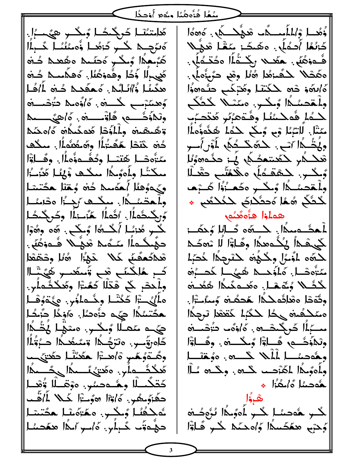مَاسْتُنَا كَرِيْحُمْا وُكْسِ هِيُسْبَلٍ. ەُىرَجىدا كىپ كَرْهُما ۋْەمئْنُما خَىرلَمَا كَبُعِكَا وُلِكُمْ دَتَلْمِهِ دَهُمْهِ كُنْ هَٰٓٓٓيَٰٓٓ إِلَّا ۖ وَوَالَّا ۖ وَهُوَدَٰٓ مُلْكِنَا ۚ وَهُوَ مَعَدُّ مِنْ وَلَا يَعْدُونَ هكَسُا وُٱٱتُلَيْكَ. هَـعفَجـكَ جُـفَ لِمُٱهْلَ وَهِمَنْتِرِبِ لِحُسِنَةٍ. كَانُؤْهِ لِمَا تَتَوْصُلُ مَنْهُمْ مِنْهُمْ وْشَمْعَىهْ وِلْمُؤْخَلِ هُدِيَكُمْهُ ۚ هَٰاهِ حَكْمَهُ دُه حْنَحْا هَفَىُّ;اُ) وهَمعُثَماُ). مىڭگ مَتَرْوَهْــا هَتْنْــا وكُفْــوؤْواْل. وفُــارْزَا مكَنُّا وِلَمَوْحَلَا مِكْتَ وْلِهُا هَٰنَا أَ وحَدَوْهَا أَحْمَدِهِ مَنْ صُدْمَةٍ وَحَقَا حَدَّثَتَهَا وِلْمَتّْسُلُمَا. مِكْـْ رُحِـزُا ەِتْسَار َوۡۥۡكُمۡدَٰمَاٰ ۚ ٱذۡدَٰاٗ ۖ هُنۡنَا ۖ وَكُوجُكُمۡدَا ۖ كُبِ هُنهُا أَكُمُ أُوكِبِ. وَهُ وَهُوٓا حهُكُماُ مَحَمَّى هُوْ الْأَصْوَحُعُ. مْدْكُمْفَىّ كَلا ۖ دْيُٰۥ ۖ هُ ُلْمَ وِحْتَفْعَا ۖ كَ هُلگسًى هَي وُسمُحب هَيْشَال وِلْمِدْمِ كُلِّ قَخْلًا كَعُنْزًا وِمَحْكُدُهِلُرٍ. هَذَٰلِيَـــٰٓ;ا كَكُنْــا وِحْــٰماؤُو. ۞ وَيُحَوُّفُــا ـمثَّـنىدُا كَيْء دَّەدىُل. %فِكُل حَنْحُـل كَيْتُ مُعَطَّا وُحِكْسٍ. مَمْهَّا لِمُشْكَرَا كَاهِ رَقُسِبٍ. هِتَرَجُــٰكَا وَمَعْـعُـٰـٰكَا حــَّ;وُّـٰٰلَا وهُــٰٰٓوُهُـٰمٍ ۚ ۚ اهــٰٓٓ هَهُنْنَـٰا حَهُنَىٰــب الْمُمْسِكْرِ الْمُمْسِنْرْتِنَةُ وَبِدَاْمِيْتُ مِكْلَة كَقَكْسَلًا وِحُسَوْمَسْرٍ. ەَوْقَسْلًا وُْهْسَار حَقْزَوْمِعُو. كَارْأَا ۞وُسْرًا لَحُلًّا ﴾أَأْقُم هُكْفُلْ وُحْبِ. مَعْتَمَسْلُ هَنَّسْلُ حَجَّدَتُفَ حُبِيلُونَ وَأَسَوٍ آمَدًا مَحَمَّدَسُلَ

وُهُــا وَالمَلَمـــدُب هَوْكــدُب وَهوَا كَرْتُهُا أَحِمْلًا . وهَيكَ: يَتْقُلْ شَهْبُلا هُـهوَهُلَمَ. حَقَصَه رَكَــتُهُ/ هوُخَـهُلَمَ. هَهُمْا لِلصُّرْهُا هُلَا وِهْعٍ حَرُّبَةُهِاً . أَهُ اللَّهُ وَ هُوَ الْمُسْلَمِنَ وَ اللَّهُ وَ أَهْلَ مَعْنَا وَ وَ اللَّهُ وَ اللَّهُ وَ اللَّهُ وأحْصُدُا وُحْسٍ. مِمْسْلًا كَثْكُمْ لحَــهُا ٍ فَمحْـسُلَا وِفَـتَحَبُّبُ مَحْحَبِ عَبْنَا. اِلتَّبُّا وَجِ مُحَكِّ حَمَّاً هُذُوَّهَاْ ولِضَّهَا آتَ. حَمَّةٍ حَمَّهُ لَمْوَنَّكُمْ لَمَ هَكُمُو كَعُسْمَكُمْ ﴾ وَ حَدُّهِ وَلَمْ وُكْسِ. كَـْهَقْـمُلُمْ مَكْمُثَبِ حَقْمَلْا وِلْمُحِسُّلًا وُحْبِ وَكَعَـٰزُوَّا كَــرْهَـ ِكْثُكُمْ شُ**مُ**ا مُحثَّلابُ لِكُلْثَيْنِ \* هملوا فأهقنهم لْمَشْــٰمِــٰمَاٰ. ـكـــەَٰه تُــالَا وَحَمَــٰ; كَحِيصًا لِمُكْمِعِدًا وصَّارًّا لَا تَحِكَـٰهَ لحدَّه لمُؤْمَرُل وِحْكُوْنَ لِحَقْوِجُوا خُصَبُطْ مَتَوْهِدًا. كَانُوَحِيكَ هُيُهَا خَصَرُوه كْثُمْ لَا مُتَمْسًا. وَمُسْوَحُمِهُ لَوْمُحْتَمِهِ وثَّفْدًا وَمْلِثُمْكُمُا هُجِعُةً وَسَأَسْرًا. المُحِمَّةَ لِمَتَّقَدُ لِمَكْمَ لَحْرٍ مَعْكِمَةٍ مِنْقَاسِمَةٍ مسَبَّلًا كُرِبْكُنْدُ. هُ/وُهُبْ تَتُوَشَيْتُ وِلْلأَفْــٰـٰى فُــاٰوْٓا وُحكْـــٰف وِفُــاوْٓا وهُوصِيُسا لْمَلْمَلا كَــــره فِ وَوُهْتَسَار وأَدَوْمَا الْمَنْزَحِبِ كَنْ وَحِكْمًا سَلَمْ هُ الْمُدْ أَوْ الْمُدَّارِ ۿڔۏؙٛٳ لْحُــرِ ـهُـُدَــمُــا لِحُــرِ ـلَهُ بُـدَا لُزُودُتُه وَحرْبِ هِمْكَسِدًا وَاوْحَكُمْ كُبِ قَاوَّا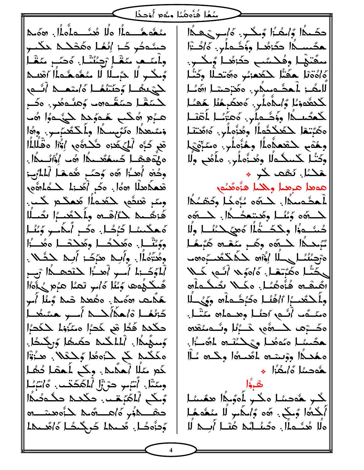سُمُا قُزُوهُمُا وهُو أَوْحِجُا

مُمُوهُ . الْمَلْمُ حَمْلُ الْمَسْدِمِانَ . الْمَصْرَفَ حسَّـٰہِ کَـٰٓۃ اِنُھُـٰا ہ6َڪَـٰـٰہ ۂلَـُـٰب وأسَّــمٍ سَمّْـاٍ رَجِئْتْـا. هَجَبٍ سَمّْـا وُمكْــرِ لَا حَبَّــلَا لَا مُعْدَهَـدَاْ آمْنــدَ لحيده المستمارة المشتوع المشتركم لكَنْتْقَا حَمَّقُوهَا وُهْتُوهُو. وَصُر ھام شکیم سے موحد لگے وُا شَت وْمُعْكَدُا دَنُوْمِسِيْدًا وِلْمُكْتَكِبُسِ. وِرْدًا هْمِ كَبُّه ٱلْمُكْمَدَه كُلْحَقُّهِ إِوَّٱا هَقَلَلْمَا وَالْمَسَاأَةُ إِلَى الْمُسَكَّلَاتِ مِنْ الْمُسْكَّلِ. وِحُثَ أَهدُا هُ٥ وَحَبٍّ هُـُـمَـْ ٱلْمَارُبِـ; هُمكُمِلًا هَا. وَكَرِ أَهُدْا كَمُاهُومِ وِسًا هُلُقُوبُ لِمَنْعَمِلُ أَهْلُكُمْ لَكُبٍ. كَرْشَــدا حَــُ/فَــره ولِمُحْصَّــرُا بِتُـــلُا ەھكىئىل كېڭىل. ەكىر أىگىىر ۇنْتال وَوُنْتُسَا. ٥مَكْشَيَا ومَكْشَيَا ٥مُحْشَرًا وِهُنَّهُ أَلْ. وأَبِيهِ هَزَجَةِ أَبِيهِ لِحَشَلًا . آلمَوَكَـــزلم أُســـر أهـــزُا ــكـقصصــدُا رُيـــر قَىكْيُوهَ وَعُدًا وَاسِ تَعْمًا عَزْمَ كَلَّاهَ ا ـهَـٰهُـڡ , ههُـه . ههُـهه شمه وُـنُا أُس كَتْتُمُّا قَامِيْنَا كُلْمَا أُسْبِ هِسَّيْتُكُلُّا حكْده فَدُا مْي خَدْرًا مِتَّنَّوْءُ حَكَدَرًا وَسهَٰىٰهَا. ٱلْمَلَّكُما حَمَٰىهَا وَرِجَّىٰهَا. مَكْتُمِ كَمْ لَاَوْهُا وُلِيْتَالَ. هَاوَّا خَمِ مَلَلا أَحدُه. وكَبِ لَمحْمَا دُهُا ومَثْلُ. أَتَبْسِ حَرْ زْلَ ٱلْمُكَذَّبِ. ٱاتْبَسَّلْ وُكَّى ٱلْمُكَبِّقْتِ. كَكْنَدْ كَنْدَهُا وُدْوْهَــا. مُسماط كْرِجْسْتُــا وْامْسماط

حَصَمَا وَٱحْدًا وَحَكْسٍ وَٱسِرِي هِمَا هصٌسبكَا حَدَّتُها وَذُهُمانٍ. هُاصُنْزَا مىڤتهْا وفُكْسُب حَدَّمُدا وُكْسْ. [يَهْرُوْنَا حَفَيْنَا حَمَدْمَنُو وَهُتَّصَلًّا وَكُنْدًا لَامكُمْ أَحْشُومِمِكُمْ وَمُتَوْصِيْنَا آَهُمُا كَحْتُدَوْمًا وُآٰ خُامَلُنِ. هُمْتُمْ هُمُّا ۖ هُدَـٰٓا لْكَعْصَـــٰٰهُ! وَذُهْــٰمِلُـرٍ. هُحَبَّـُــا لِمُقَبَّــا هِمَّتِمْا حَمَّحْجُمْاً وِمُزْهِلُو ِهَوَالِمَعْشَا لِرَوَّبُنِيهِ لِلْمَعْمِدِ الْمَؤْمِلُرِ. مِمَّتَوْمِلُر وكَتُلْ كَسِكُولًا وِهُـزُّولَمِ. ولَمُعْ ولا | هَڪُل نُهُم جُر ۽ |عوها عرهما وللحا فأوقُلُوم لْمَحْدِمِيكَا. كَنُوهُ يُوْمِكُمْ وَكُفْتُكُمْ كمؤه وُمُمُا وهُنتمْكُما. كموَّه حُسَّــهُُوا وِحْكَــتُمُلَّا هُعِيَىكُمُــا وِلَا تَبْعَدُا لِحَسَنَ وَهُم مَعْدُهُ هَبْعُدًا متصبح المراسية المستحدث سكن مِصَّا مِهْرَمَهُ . كَمَاهُمْ النَّصْرِ الْمُتْدَه فُزُّەھُنُا. ەكْمْلْ بَصُكُمْلُهِ وأكتَعبُ الأاقْلَا وَدَٰكُواْ وَيُكَلَّا مَمَّــُه أَنَّــم أَحتُــا وهـــماه مَنْـَـا. ەكىۋە كىلۇە ئىبۇلا وئىمىئقدە مَانُومُهُمْ مَسْتَدْكُرُو مِنْ مَاسَمَةٍ مِنْ الْمُسْتَمَّةِ مِنْ مِنْ الْمُسْتَمَّةِ مِنْ الْمُسْتَمَر مَعْكُمُا وَوْسَسْهِ لْمُحْسَوَٰا وِكْلُهِ مُـٰلًا هُ انْصُلْ ٱلْمُكُمُّ ِكْبِرِ هُوَجِئَا وَكُبِرٍ لَمُؤْمِيَّا هِمُسْتَا أَبِكْتُوا وُلِّي. ثَهُو وُالذَّمِرِ لَا مِنْعُومُا ولًا مُحْصَمِلًا. وصُعُلِّكُمْ هُنْما أُبِيهِ لَل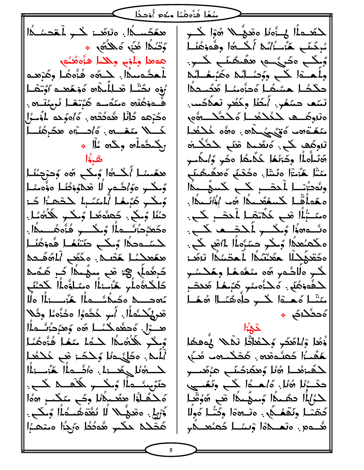هَهُكِسِـدًا. هَـْتَهُـــز لَكْــرِ لْمُعْصَنُـدًا وَتَىٰمَا هُذَہٖ مَكْتَبٖ \* عدها ولمفع وللما فأدهُكم لْمَثَـٰمِـٰماً. ۞مَنْ قُنُومًا وِكَبْعـٰد رُوْهِ ىكَنْسَا شَــالمُلْمُ هَ هُوَحَصَــهِ ٱوَّتَـصْـا فُـدفكُتُه ممُدَّىــد كَبُنْـهَــل نُـوجُنْـــهن. ەكْرْھە كُالْل ھُەكْتُە . ەُ/ەوَّىدە لمُوْسۇل كَــــلا مَـُـقَـــــرَّه . هَ/صــــرَّاه هڪَرِهُئــــل وبكعشَمان وكمه مُلَّا \* ھگىئــا اُڪْــاهُا وَٓـڪَــ هُ٥ وَحرْجِئُنُـا وُبِكْـرِ هَوُاكْــٰمِرِ لَا شَكْوُوْتُنُـا هِؤُهِيُـا وُحكْسٍ هُبُعُمَا ٱلْمُتَسِيطِ حَدْهِدًا كَــْ دىُنُا وُحِكَى. كَمِشْمُحَا وُحكْـبِ لِلْأَهُـُـا. ەكھزّىز ئىسال ۋىڭسىر فۇەھىسىدا. لحسَّـــوحدًا وُلكـــح حَنَّتْسُــل فُووَهُـُــل همُعلائما مُصْله. منَفَع ٱلمُهَدم كَبِشُمابُ جِبْ شَي مِيهُما كَبِر كَسَّمَ كَلَّكُدُّهاً و هُنْنِيْنَا وَمُعَاذُواً لَكِنْتَهِ لَاهِ حَسَنَ هُمُ الْمُصَدِّرَ ﴾ [السَّمر: 1] هْدِيْكْتُمْاً. أَسِ خُثُّهُوا هكْتُوءُا وثُلا هــــرْل. ەَحغُدىڭــُــا ھَە وُھرِّحزُتُــماًا وُحكَّرِ لَحُدُّكُما كَــمُا مَعْمَا فُزُّهِمُنَا أَلَمْما. ەكَلَيْحەُلَا وُحْكَۃ شِي خُحْفُدِا لِمُسْتَمَالِيَكُمْ بِهِ وَاقْسُمَالُمْ يَحْبُرُ الْمُؤْسِسَةِ الْمُؤْسِسَةِ الْمُؤْسَسَةِ الْمُؤْسَ دَنَرْہِنُےاْل وُلگ ہو لگھے گے . كَكْتُلُوا هِقْتِيْهُمُا وَكَنْ سَكْتَبِ هِكَا َوۡرۡهِا ۚ. هَمۡهُمۡ اَلا نُعُّدۡهُمۡـٰهُۢا اُ وَحَٰٓـہٖ ۖ. كَحْكُمْ حَكْسٍ هُودُدُا وَرُجُرًا ومتَّعَـرًا

لْمَعْــٰمَاْ لِيَـٰٓوَٰىٰلِ مَعْنِيَـٰلا ہُوۡوَا لَحْــٰبِ مُبِكَنِّبٍ هَّنُوْ أَمُكُمْ أَكْسُرُهُ الْمُحْمَوْدُهُمُا ا أَوْلَكَمْ هَدَيْمَهِ هَقَعَقَعَلَى لَكَسِرٍ. وأحسدًا كَبِ ووَحسُلاً ه مَبْعُلاً حكْحُـا هِسُمُـا هَجْهِمْـا هُكُــجِدًا تْسَّم حسَّمُر. أَمَّتُلْ وكَتُدِ تَعَكِّكَت. وثروكسك للمُلحُسل مُلطَّلِسوةُ وبِ تَاوِكُفٍ كُلٍّ. هُتَعْمَدْ قَتَلٍ لَكَثَّكُ:فَا هَٰنَـٰلُماْ الْمِحْرُنُـٰهَا ـكَـٰاَـٰـِـهَا ۖ هَـٰو وُاٰمِـدَامِــو مَنْا هُزُىٰٓا وَيُشَا. وَخُدْبَهِ وَهَقُمِعُبَ ونُوتُوْتِ الْمَحْسِرِ كَبِ كَسَهُسْمَا ا ەھَەلُڤْل كَسْمُعَّىداً ۞ ﴾ إزَّانُــداً. مَصَّبُّلًا هَبِ كَذَّتِهَا لْمَحْصِرِ كَبِ. ەئىمەۇر ۋىگىر ئىكتىمە كىب. مكعنُعدًا وُسْكُر حِمَّزُومًا £آهَى كَبِ. وَحَقَّهُكُمْ الْمُعَمَّنَيْهُا لْمُصَّبِّدُا لَيْهَد لْحُــرِ وَلَاشُـورِ هُوَ عُـُهُوَـمُـل وِـمُحْــئيـرِ ِكَـقُووْهُـُمْ. هُكَـزُومُـُو هُرُمْعُـل هُكَـفَـرِ مَثْلًا هُـمَّـةًا كُـــو حَلْقَصَّــَّالَ هُـمْــا ∣ەۡحثُّكۡ(کُ ٭ ذُهُا وَالمَعۡضَرِ وَحۡـٰهُاأَنَّا تَكُلُّ يُوۡعَهُا ۖ هَقَىـُ:ا حَمْنُـهِ هُـهُـــُـــهِ مَـــُــُــهِ مَـــَـهِ للفُنومُــا 16ْمُل وُهكُوْشَنَــ هُزْهُنـــو حَدَبُرُا هُمُا. هُاهسُهُا کُبِ وِنَعْسِي لْكُرُٰا الْمُسَمَّا وَسَهْتُمَا هُوَ هُوُشْرًا كَتْفَسْأُ وِنُفْعُكُمْ. وْسْرْهْوَا وِكْتُنَا دُولًا هُـــوم. وتَعَـــدْهَا وَبِسُــا كَعِنْعَـــدُبِ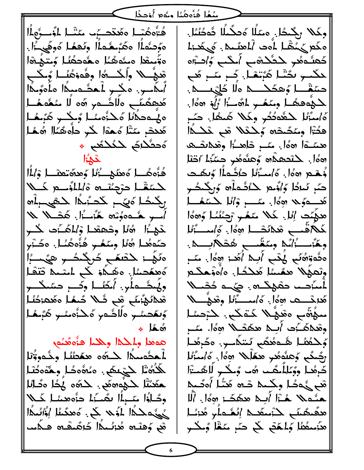| فُتْوَهُبْـا وَهُدَّدَــِيَ مَنْـْـا لِمُوْــوُهِـلَا              | وكَلا ركْبْحًا. وممُلَّا هُصْحُلًا شُوْطُنًا.                                          |
|--------------------------------------------------------------------|----------------------------------------------------------------------------------------|
| وَدِّيْهَا الْمَكْبِيْسَا وِنُعِمَّا وَوَفِيْ).                    | لمنتفرة بصنفه المحامل لتقنر بصفره                                                      |
| دَوَّسقَا مِنْدَهُمَّا مِحْدَدُمَا وَسَيْرَةَا                     | كَعنُــْمَعُـرِ ۖ ـلــَــُلــَةُ بِ ۗ أَسْلَـبِ ۖ وَاتَّـــَّةِو                       |
| هَيْـــلا والحُــــهُا وفُـهوَهُــٰـا هُكــح                       | حكْسِرِ بِكَتْلِ كَبْتِهْلِ. كُبِرِ مَيْرِ هُبِ                                        |
| أَلْكُسُو. هَكِسْرَ الْعَصَّـْمَسِكَا هَادَوُنِكَا                 | حمَّشْكُلْمُ مَسْتَكْتُمْهُمْ وَالْمُحَارِّبِينَ مِنْ مَسْتَكَفِينَ مِنْ مَسْتَكَفِينَ |
| كَمِيْمَمِّنِي وَلَاشُــورِ هُو لَا مُنْهُوهَــا                   | لْحَكَّمُوهِمَا وَعَمُّبِ الصُّرَّا ۚ }} مَنْ أَيْنَ مِنْ الْمَرْدَةِ.                 |
| ەلمەدەلا ەڭشا ۋېڭىر كېڭىل                                          | َهُ ُ مُنْ الْمَدْدُدُو وَ هَٰلا ۖ هُمَعُا ۖ. حَسْر                                    |
| مُحدَّم مَثَّا هُـعَـْا ۖ حُـرٍ حاهِ مُّمَّاا ۖ هُـعُـا            | َفْتُرَا وِمَكْمَدُه وُلْمُدْلاً هُم مْلْكَلَاً                                        |
| ەَحثَلامَ للىُلسَّى *                                              | همَّـةا هوَّا. مَّــرِ دْاهــزْا وقدانقــه                                             |
| $\mathcal{L}$                                                      | اهُ الْمَدْهَدُو وَهِنُوهُمْ حِمَّۂُ اتَّقَالَ                                         |
| هُزْهِكُمْ هُمْكُمْ ۖ زُلْلٌ وَهِمُّتَهْتُمْ ۖ وَالْمَلَا          | فَـهُـع هَا\. هُامـنٌوُل هاهُـمال وُنصَّـص                                             |
| كَسَمْسًا حَرْجِنْسُرَه وْالْمَانُوْسِعْ كَسْلًا                   | حَبْرِ نُىأَكُمْ وَأَوْمِعْ كَائِنُوْهُمْ وَرَكِّحْبُ                                  |
| ملبسيقة المشكر سنوة لمشكى                                          | كُفْرِيْتِهِ هِوَالَ مُمْسِنٍ وْٱلْمَاسْلِمْسَارِ                                      |
| أسبو حَسَّــهِ وَمْتَهُ حَمَّةً مِــدًّا. كَمَّصَـــلا لَمَلا      | هكْتُتْ إِمَّا. ݣَمْلَا مَعْصُرِ رْحِنْتُنَا وَ16%                                     |
| لْكَهْـأَا ۖ هُلَا وِحْعَقْـا وْالْمَـَّاد لْحُـب                  | كَمْ قَمْبِ هَٰذَتْكُمْ هِءَا. وَاسْتُرْمَلْ                                           |
| حَدَهُما هُلا مِنْعُـو فُنُّهمُا. هَـٰـْبَو                        | وهَّنْــــزُّابُمْ ومَعْمَـــــــح هُدْلاسِــــمْ.                                     |
| ەلكى: خاتىمَى خَرېڭىخىر ھَيُمبُرا                                  | ەڭەۋەگى لىكى آبىد آھُد رەەل. سىر                                                       |
| ەُھكَصْمًا. ەھَـكَمْوْ كَـــ عَمـمـــما ثَنَقْـا                   | وتَعَمِّلًا مَعُسْلًا مُكْتُدًا. وَأَوْفُعَكُمْ                                        |
| .ويُبْشُــداُب. أَبْتُشُــا وتُـــر تَــئبكـــب                    | أسأحب حقهكـــه . حيَّـــه حُصْـــلا                                                    |
| هْدْنُهُنَّبُ شِي شُلا صُـْعًا همَّدْمَنُـلَّا                     | كُنْتُمْسَبِ هِيُّا. كَاسْتُ الْمُ وَهْدِيْنِ الْمُسْتَمَرُّ                           |
| وُبْعُجْسُبْ وْلْأَشُوبِ وْجْزَوْمِشْنِ كَبْرِهْمَا                | سۇۋى ەقىۋىلا كەڭىي. خۇھئا                                                              |
| ە ئاھا پە                                                          | وثعككَات أبيكا معكفكلا الموهُما. ممّس                                                  |
| عوما ولمكثا وهكيا فأوقيتهم                                         | وُكْمُلًا هُـومُكُم نُـتذَىــو. وكَرِمُــا                                             |
| لمعثَّميكُا لِحَسَّدَه مِعَصَّلًا وِحْدُوقُهَا                     | رَجَّىگَى وَهِنُوهُدِ هِغَلِيلاً هِوَا. وَاسْتُرُلُّا                                  |
| لْحَلّْمُنَّا لِحَيْمِكُمْ . مَنْهُوصًا وِحَفُّوصُلَّا             | َكْرِهُمَا وَوُبُلْمُشَمَّد هُبَّ وُمِكْسٍ لْأَهْمَـٰٓٓٓٓٱلْمَصَـٰٓٓٓٱلْمَ             |
| هَعُمْنَا لِحَكَّوْهِ وَهُمْ . حَذَّهُ وَ يُحُلُّ وَصَائِلًا       | مْبِيءِكُمْ وِكْــدْ صْــــــــــه هَنْــا /وَكَــدة                                   |
| وحٌـاوُّا مَـٰـرِاًا بِمَّــزًا دَّوْمِيْـا كَــلا                 | حَسَّمِلًا هُـَٰٓٓا أَبِـدْ مِثْمَكَـٰ; وَاٰلَى ٱلْل                                   |
| يُحِمَّكُمَ الْمُؤْمَّدِ مَنْ مَا وَأَمْلَاهِ إِذَاكُمْ الْمُسَاءَ | هڤىڤىئە كتىمكك إئۇجام ھُتئا                                                            |
| َ هُمْ وُهْلُتُهُ هُٰٓرَٰٓتُـٰمَاٗاً خُلِّصُـهُـهِ هِــٰكَلِّمـت   | ھُزَىبِھُلاَ وَلَمَّهُمْ کُلِّ صَبِّ مَنْقَلَّ وَبِكْسِ                                |

 $\boldsymbol{6}$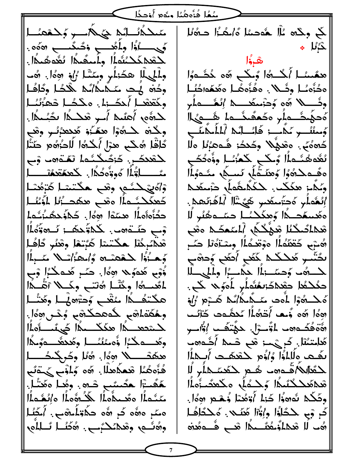مَىكَدُلَّلْبَةِ جَيْحَةَ صَبِرٍ وَجَدْهُمَا ا كَيْتَ أَوْلَا وِلَمُشِيحِ وَشَبِكْتَبِ 1000\$. لِكَعْمَكَلِـنُدُاً وِلَمَـمَّمُاْ نُغُّدِهُمَا. ولْمَلِيلَا هِدَامُرٍ وِيَتْنَا رُهْ هِءُا. هُ ودُه هُـد مَـدٌمْدُ/مُدْ للْكَـدُ وَدُاهُـا ۖ وكَقْفَا أَحْدَ زا. مَكْدًا دْهَزْنُنَا َكْتُوْمٍ أَهْلُكُمْ أُسِرٍ مْكَـٰدًا بِكَبُـٰدًا. وكمنه كثوا مكَّون مُدِمْرُسُو وهَبِ كَاقْا هُكَم مثل أَكْهُا لَاحُرْهُم حَنْثًا للقُدْكَسِ. كَرْكَنْكُما تْغَذْرُهَا وْب مُنْــــــاؤُلُمْا هُوِوْهُكُمْا . كَـٰعكَمْعَعْمُنْــــــــا وْآەيْݣْشْيْ وقب هڭتشا كَتْفْسَا كَعكَــدِيَّــه/ا همْبِ محمَّحــزُمُا لمُؤْمُنُــا حَدُّوْهَ الْمَسْتَالِ هِوَا. كَلاَدُحْشَدُتُما وْبِ حَنْــٰةِهِ۔ كَلِّمْقُحِهَـٰ ۚ تَــٰهِ قُهُمُّاْ هَذَّكَرِكْنَا حَكَّتَتْنَا كَبُتْعَا وَهْنُو دُافُ£ وَهِيزُوْا لِكَمْعَنْدِهِ وُاسْعَدُانَسْلا مَنْدِيْاً ذُوْبِ هُدَوُلا هِءُا. حَسْرِ هُدمَكْرًا وَبِ لمُغسمُا وكُنْسا هُتَب وكُملا ٱقْسُمَا هكتفُ\$ا عَقْبٍ وَحَتْهِهِ الْمَعْشَاءِ وهُكَتَمْلُهُمِ كَعْمَدْتُهِمْ وُخْسِرْوَهُ ۚ. لَمِسْتَدِهِ الْمُسْكَلَّمَةُ الْمُسْتَدَمَّةُ الْمُسْتَدَمَّةُ الْمُسْتَدَمَّةُ الْمُسْتَدَمَّةُ ا وهَـــــه كْرُا ذُهِمْنُنُــــا وهَٰدهُــــهُوَمِدًا صَاْصَىٰ صَاْحِ ہُ، فَاسْتَمَعْ مَا مُعَامَّدَ مِنْ مَنْ مَنْ مَنْ مَنْ مَنْ مَنْ مَنْ هَقَىـٰٓٓٓٓٓا هَتَـُـسَّبِ شَـ∞ٍ. وهُـا هَعَنَّـاٍ. مَعْتُماً الْمَعْمَاهُ الْمُكْرَةُ الْمَالَةُ الْمُحَمَّا ەمَّە ەھُە كَرْ ھُە حكَّاقلُمەن ، أُمَكِّلُل وهُنُــم، وهُدُنُـدُبُـب. هُكُنُــا نُــالمُو،

لَّكُمْ وِحْدَهُ مُلَّا هُوَجِئْلُ وَامْكُرُّا حِيوُلُلُّ جُہُل پ **ئگرؤا** ھمُسُلم اُكْسِوَٰا وُسْكَى وَٰہٖ خُشُـٰہُوا ەكَزُّەسُا وشَـْلا . ەفزُّەھُـا ەھَمَّەشَار هُحكِمَدُـــهِ/م هكَــمُـــه هــم هِـــمِــها/ وَسِلْلُـــرِ مَكْسَــزِ قَائِـــانُـمْ لْمُلَــدُّمَـّـبِ كَدَهُمْ. وقَدْهُلا وكَدْدُ: فُــومُرُّلُ وَلَا لُعُدهُنُـما ۖ وَحكــح كَـمُّتُــا وِذُهككــح ەقبەكلەۋا ۋەئىتەڭ ئىسكە مئەۋلما وَمَكْمَةٍ هَكَكَ، حَكَكَمْمُهُمْ حَتَّمَتَعَكُمْ إِنُعْمَلُو هُڪَمِمَعَى هَيُمْالِ أَمْاهُ;تَعطِ . ەكسىمگىدا ۇھككشا ھىشتەھلۇ لا هَٰهَلاَصُكْنُا شِيْكُمُ ٱلْمُعَصَّـٰهِ مِمْع هُنْهِي كَقْتُكُمُّا هُوْقْعُكُمْاً ومثناهُ لَا حَسْر ىگئىپ ئەنىڭىد كَفىي أَيَفى وُجِشْي للسرلماء ابْسفْنا الْمُنْسَرًا ولْمَلْمِسْلَمْ حَكْكُمْ حَقِيْدَكْرْبَعُثُمْلُو ۖ لَمَوُجْدَ ۚ كَلِ . كَمْلَـــوَّةِ لِمَادَتْ مَمْــدَّابُكُمْ كَسْتِمْ رُافِعَ الْمَاهُ مَنْ أَحْلَامُ الْمَحْمَدِ كَانَت اڤَّةَقْصَدەما لمُؤْسِرْل. حكَّنفَسا إوُّاسو مَعَالِمَتْنَا. ِ كُمْ يَسْمَ هُمْ كُمُ أَشْمَاهَ مِنْ بَعْـمِ ولَللَّوْا وُ}وُم كَـتَعمَـم أَبِـهلَا لِحَقَدَانِكُمْ قَدِهِ دِي حَقْدَ مَسْلَمَ لَمْ لَل هْدْهُدْكْنُدْا وَحْـدُبُ مِكْعثَبَّةُدَا وكَكُمْ نُوهُوُا جَهْاً أَوْهُدًا وُهْبُع هِوَا. كَرِ وْجِ حْكَاؤُا وِإِرْوَا مَنَكِبٍ مَحْكَافًا رُّه لَا مْحَلَوُّمْعُنَـــما مْبِ فَــومُدِه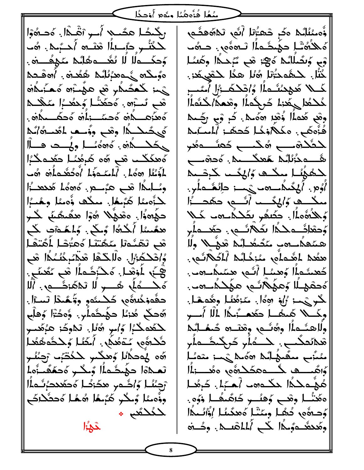رِكْبِحُـا هِجُبِيْدِ أُسِي ٱقْــْهَا. هَـْــِهُوْا لحكْتُس حَبَسلاًا هَنْسُرَه أَحِبُّكَ. هُب وُحكَـــولَا لَا نُعْـــومُّانُـمْ مَعْهُـــــونَ. هُوَ حَكْمَهُ ﴾ وَهُوَ مُلْكُمٌ هُمُحِينَ ﴾ أَ30 هُ مَحْمَدِ يَهِمْ لَكَعَكُمُكُمْ مَعْ مَكْسَنَةٍ مَعْشَمَلَهُ مَسْ مْبِ تَسْتَ9، هُحَكْتُمْ وَحِكْسُوْ مَكْلَـــمْ كَيْݣُىكْتْݣَا وْهْبْ وْفْسْعْة لْمُسْتّْرَبّْنْ الْمَسْمَدِ مِنْ الْمَسْمَدِ مِنْ الْمَسْمَدِ ﴾ [الله عليه من السَّمر السَّمَر السَّمَر السَّمَر ال ەُھككىي شَى ھُە ھُبِھُئا حَعْدَمُكُمُّا لَوْنُنُا هِمَا. [اَمْسَحَوْا اَهْضُعَااَهَ هُ وسُلِيكًا هَبِ هَبْسِعٍ. هُ‰مُ هَٰذهنُا َكْتُومْدَا كَبُرْهَا. مىڭف ۋُومْدَا وِهْبُرَا حَوُّوهُ). وَشَوْيَلاً وَوَا هَدَّمَتَهُ لَكُـرِ ھگىئا أَكْتُوا وَيكَ. وَلَمَّوَاتِ كَع هْبِ نْهْشُوبْلْ مُهُنّتْلْ هُمْتُوْجْلْ لَمُكْتَفْلِ وُاصْحَكْرُلْ. ولَلكْـقَا هَجْنُهِكْنُـكُا هَـع چْنَ، أَوْهْدا. هَكْزَهُـماُل هَــم كَعُمَـ*ُـ*ر. كَهْكَسْمَانُ هُـــــــوٍ لَا تَمْكُمْوَهُــــــــــــهِ }ِلَا حفُّەفٖىدُللەُ) كَكَىنُەم وقُگُىدَا لَسآل. هُحكٌ هُزْءُا حَهُـثُماُرٍ. وُمكُنَّا وُعلَّى لْمَكْتُدَا وَٱسِ هَٰلَا. لَكُوكُمْ هَزُهُمْسِ ثَلاشُ ۚ يَتَمُعُكُم ﴾ أَيَضُلْ وَلِلصُّمَعُعُدا هُه لهُحكُانَا وُهكِّسِ لِكَحَّتِّبِ رَّحِنُنُسِ لَعَــدْهَا حَجُنَــدَمُاْ وُمِكْــرٍ هَجَعَّفَــزُهِـهِ َ رَجِئُنًا وُاُشُـوبِ مِدَّدُنًا هُجِّعُدِدَرْنَـواْلَـ وؤْمِنْا وُحْدٍ هُبُعْا هُعْا هُحْدُكَ لمُلْكُم \* **تَّهُ: ا** 

وْْمِمْلُلُّكُمْ مَكْرِ شَعْبَٰزْلَلْ أَنَّهِ ۚ لَكَلَّهُ فَشَيْمٍ هُ اللَّهُ نَّبِ حَهُنَّـماً لَـــهِ هُمْ . حــهُ ُوْجِ وَبِّصَلَلْكُمْ هُنْجٌ: هُجِ تَبْحَـٰهُ! وَهَيْـٰا خُتُا. كَـهُمحُتُوْلِ هُ ُا هَكُلْ كَـهْيِ هُدْ. ـَـــلا مَّــهْــْتُــملَّا وُاشِـْــكَـــرُّل *أَم*َّىـــرِ لَحْكُمَا حَمَيْهَا الْمَصْحَامَ الْمَصْحَاءَ الْمَحْسَمَةَ وِهْدٍ هُدماًا وُهْدٍ 50مگ کَ وَبِ رَجَعِگُمْ قُزْهِكَمْ. مَكْلاً فِكْل كُحكَة أَلْمَسَلِيهِ لحثَلة ـــــــــ شكــــــــــــ حَمتُـــــــــــەمُد ر مُسْسِمْدُرُمُلْکُمْ مُعَجَّدُ مِسْمًا بِهِ مُحَدَّثَةٍ مِسْسِمٍ لحَمْهُنَا سِكْلُفَ وُالْمُحَبَّبِ لَكُرْشَيْنَا مَكْـَــِدِ وَالْمُكَــَــَ أَنْـَــَــَى حَقَّدَـــُ أَا |كِللّاهُماْلِ. حَصَفُو بِصَلّامُدهب كَبْلا |وُحثَدائَـــمككُمْ سَكَلائَـــمِ . حِمَّـــملُرِ هتمكم والمستكسف المستحرك ولا هفك المُحالَم مُنهَدُانُكُمْ أَلْمَكُلاَتُكُمْ. كَعْنَتُمِلَا وُهْنَيَا أَنَّمَ هَنَّنَذِكَانِ مِنْ وَ ەَحْكَمْسَلَا وُعَجُلاَتُـُمْ عَجُلَـٰدُسِمَتْ. لْمُرِحْمِمَ رُهُوَ هِهَا. مَنْهُنُمْ وِهُوهَا. وِكَـــلا هَمفَـــا حَقَعـــتَمثُّا لِمَالَا أَســو والعنُـماَا وهُنُـم وِمْنَــه حُـمُــابُـه *ۿ*ٚۿػڡڵٮؠ. ڂ؎ۢڵڔػڔڲٮڟٞ؎ڵڔ اَلِنْمَدَ نِسْرٌ مُاهَ a مَالْمُشْمَدِ سِنْمْد وَاهُمِـــــهِ لِمُـــــــــهِ عَكْلِمُهُمْ وَهُــــــزَاْلَ كُوهُدِدْدًا حَكْدُهِ وَاحْتَرَا. دَرْهُما ەكتُسا وقىس وُقسىر كَاتَمْىقْسَا وَوُهِ . وَحِدةُهِ، دُهُما وِسُنْنَا هُمْدُسُا إِذَابُسُمَا ومُحشَّدَوَماُ كُبِ ٱلْمَاهَنِدِ. وحُنْهَ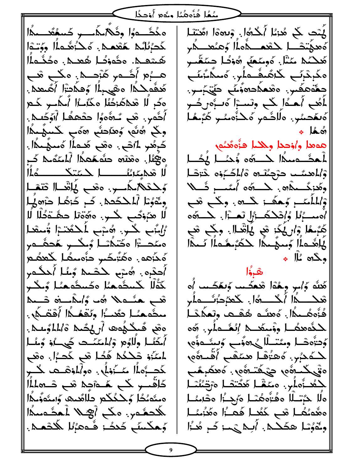ەخْشَــەرُا وِثْــٰاللَامــــــــر كَـىـمُقُـــــىدًا كْدْرْلْكُمْ حْقْدْهِكْ. كْكْرْشْدْلْلْ وَوَسْدْلْ كَعْسْصِيْ. وَحُوْصًا مُعْصِيْ. وَحُثَّـوَاهُ! هـــرُم أَهُـــمر هُنْصــــمْ. مكــــ مْـــــم<br>مَعْفَمِــــــمَّا مِنْهَــــمِّا وَعِـمَاحِبَّا أَهَــمحم ەكْرِ لَا شْدْكْرْحُنُا مْكَاْسُا أَيْدَّىبِ خَتْم أُهُمر. هُم مُـُهُووُا حثَمفُـا أَآوُكُــد. وِكَمْ شَيْءٍ وَهَاهِشْ سَمَّى كَسَبِّمَا ا كَرْهُدٍ ۖ أَأَتَّى ۚ وَهُى هُدِهَاْ أَمْسَوَّسَمَا ۚ. هِ صَمَّا. وهْلُه حَدُّهُ مَعَمًا أَمْلَمَّمُكُمْ كَبِر وَحْدْكَامِكْسِبِ. هِمْبِ يُمَاشْرِ الصَّفْرَ وِثَّەُبْنَا ٱلْمَكْحَدَ. كَـٰ كَرْهُـا حَرْهِكَا لَا هَزُوْكُبِ كُلْسٍ. 500ْنَا حَثَّـنَادُلَا لَا ُرُابِنَبِ لِحُسِ. هُبْهِي لَمَحْقَنْتِهِ وَسَعْدَ مئحـــٰٓۃا ہک٘نکُ1؎ وُ؎گــــــــو ــمُحڪَـــــمو هَدَٰهم وهُتُنكَس دَّوْسَعًا كَعْعُــْم أَحدُوهِ. هُنْهِ لِلصَّمْ وُسُلِّ أَحدُوبِ ڭتال كىنگەھ*نا* ەڭسگەھ*نا ۋى*ڭىر تَعب هنَسمالا هُ وَٱلْمُمْسِنَةَ شَسْمًا محفَّمهُــا دهُمــُرَا ونَقْهُــدًا أَقْمَــدَ) . ەھْع قَىڭگەھە آرىڭىگە قالملۇمىگ أَمَكْنَا وِلْلُؤْمِ وْالْمَنْسَدِ كَهْدَاوْ وُمْنَا لمَنّزَو شِكْكُمْ فَضُلّ هُي خَصَرًا. وهُي ـكَجــرُّه اُل ـكــزّوهاُ . ه و آماوهـــعــ ـكــر كَاقْسِبِ كُلِّ هُــةَرِهِ مْــعِ دْـــها كَــْمَا ومثونط وحلككم طلقيت وامثووما المُحصَّمِرِ. مكَّب أَرْضِيْلا الْمَضَّمِيدُا رَمكْسَبَ كَدَكَ; فُءهرُمُا لِلْكَمَــدِ.

لْمِتْدِ لَمْ هُزْمًا أَلْحُدُوا وَ وَلِيهِ وَاللَّهَ الْعَبْتَالِ هُعِهُتِدًا لِحَقِّعِكُمَا أَوْهِنُعِكُمْ مَكْتُمْ مَتْأَنِّ هُومَّهُمْ هُوْجًا حَمَّقَّب ەڭبدېك ڭلۇمۇسەلەر. ەمىگىنىڭ حقّةهكُس. ەشمەكدەۋَسٌ حَيْنَ رَسِ. لَمُعَــح اُلْعَــمُالِ كَــح وتَـســثَرا هُــــرُّەرىحُـــر ەتكىمئىر. دالگەر ەڭگەشىر كېگل  $\bullet$   $\downarrow$   $\bullet$ هوها وإزحلا ولللبا فأوقُلوا أحدَّــــممكُّل للـــــرَهُ منْ ذُكَـــل لِكَـــل وَهُدْمُـــمِلْاهِ . كَــــةُ٥ أُمِّمْــــمِ ثَـــلا وْالْمُلُمَسِ وَهِقَا كَلُّهِ. وَكُلُّ شَلَّ أەمسۇلا ۇإشككىۋل تعسال كلىگە كِبُهِمْ وَٱرِيْكَذٍ هِيَ يَاشَالَ. وَكِي هَيِ لِلْمَسْأَ الْمِسْهَمَا لِكُمْبِهُمْ الْمُسَالِمَ وكحة عْلَا \* <u>څخه</u> كَلَفْ وَامِرٍ وِـهُدْا شَعَكَــب وَبِـهُكَــب إَه مْكَــــــكُلُّ أَكْــــــمُّا. كَعْبَدْتُــــملُـر فُزْهِكُــدًا. هُمْنُــه هُـقَــْعَــهِ وِتَعَدَّلَهُـلَــلَ للدُّەمدەُـــا ووْممەَنــــــــا إِنْكَـــوامْر. ۞ه وَحَتَّوهُــا مِمَّنَــلَّاحُــْ وَصَفَــوفُولَ مِنْــوفُولَ لِكُمْدُنِنِ. هُعْتُوْمًا هَمَّقْبِ أَقْتُمُوهِ بىقېضەە . بەۋىتقرتە بەۋىمكرۋە جِعُدْ أُملُرٍ. مَمَّقْها هُكُنْتُما مْرَجْنُنْسَا ولَا حَبَّسَلَا وَفُتْوَهُمْا وَرَجِدُا وَدْبِمُا ا وهُومُعُما هَبِ لَحُعُما هُعِيُّا وَهُزُمُمُا وثَوْمْا هكْلُمْ. أَبِلاَ يْهَا كُمْ هُـُأْ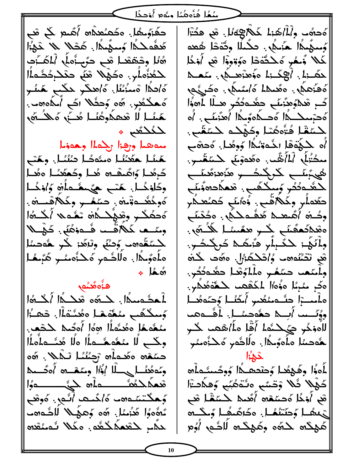حَفَزَوۡـٰهَا ِ. ەَحۡعِنُعِدۡا ﴾ أُكُسط نَّے ۚ شَـِ هُدْهُكُمْ وُسِهُمْاً. هُصْلًا ۞ حْهُرُا هُلا وجَفَعْدا هُـــ حَنْ-أَهلُ ٱلْمُــَوْبِ لْكُفَّزُهِ لَبِنِ وَكَوْلًا مِّلَى حَفْظِكُمْ ا ەُاھھَا ەْمىزْنْلا. ەاھكىر ھگىع ھَسُر كَـهكَــُفْتِر. هُ٥ وُحثُـُلا آكَبِ أَسْلَاهِ١٥-. هَسُـا لَا شَتَعَكُوكُنُـا هُــَنَّىٰ مَكْــَيَّىٰ لمنكشم \* مدهما وردزا ربحما وهموما هَمُل هَمَّنُكُ مِمَّدَكُ دَنُنُكَ. وَهَبَ كَرِهُـا وَاكْتَفْــْ هُــا وكَعْفَيْـا دَهْـا وكَافِكْلِ. هَنْبِ هِيُحِمَّدَاُنِ وَافِكْرَ هُحكُكُمْ وِيْعَهِكْدُوهُ تَعْدَى أَكْدَهُا وسُمْـــها لَمَلاَقُـــدا قُـــدوٰهُهُ. كَــهْـــلا لِمُتَمَّدُونَ وَصَّلَ وَلَاهُمْ لَكُو هُدَسَلًا ەلمۇمگا. ەللگەر كىڭگىئىر گېگىل  $\bullet$   $\mathop{\text{L\^{c}}}\limits$ وأهقنهم أَهضُمسُمَا. لِمَسَرَه مَنْ الْمُ الْمُحْسَمَا وَسككَب سُمَّة هَا مَعُنَّةُالَ. ذَهـزُا مُعْدَهُا دَهُنُدَاً هِمَٰا أَدَتُنَهَ كَنْتُمْ. وكَبِ لَا مُعْدَهْـداً ولَا هُــُـداًواً حمَّة مَعْملُه رْحِنْنُا لَـٰهَلا . هُه ومُدهُنُكُمْ الْأَرْدُا وَمَعْصُدِهِ أَدْمَدُهِ شمككمن مآه حي موار كَوهكتسَمحات كَالمُسْتَ أَنْسَىٰ. كَاوْهَبْ مُشَوءُا هَٰنُمُا. هُو وُههُلا لَاشُوهِ لْمَكْمِرِ لْمُتَعَمِّكُمْ دُهُدُو. مَكْلًا شُمْئَقُلُونَ

هَدهُ۔ وِٱلْمُعْبَدُ خَلَاهِمَا وَ هُمْ عَثَرًا وَسَهَّمَا هَٰٓٓٓئِمَٰٓہٖ ۚ حَكْمَلًا وِتَّوَٰٓتَا مُحْمَد كَلًّا ۚ فُهُو مُكْتُوْهَا وَوُوْوَوْا ۚ هُو ﴾ُوَدُا حَصَنا. أَهْكَنْهَا هُؤَهْنُهَكُمْ. مَعْصَلَا مِحْرُمِكْهِ . مِكْمِنْدَاهْ لَمْمَعْهِ . مِكْمَّوْمَ كُمْ شَدْفُوهِنَّنَّى حَقَّـٰهِ دُكُرٍ مَصْلًا لِمُحَوَّا ەَحْبَىبْلَسْلَا ەَھىلَاەوَبْدَا اُھْنَىَّى . اُە لحَمَقْا فُتُوهُمْا وكَهْلُو لَحْمَقُبٍ. أَه كَجُوْهَا بِكُونُكَا وُوِهُـا. هَدَهْبِ مْحَتَّىْلُ ٱلْمُأَنَّفُ، وَهُوَوْشٌ كَتَنَعَّصُو. ھُي بُمَّـــ كُمِكْمُــــو ھُنَهنگَــــو <br>ڵڞٞٷػؙڔٷٮؠػػؘؼ؞ؗۿڡػؙڝۿۏٞٮؙۜؠ<br>ڞؘڡڶؙڔ؋ڬڰڐؘڡ۫ؠ؞ؚ؋ؙۿٸؙؠ۪ٷڡٮۢڡۮ؇ڔ وحُــة أَمُـعــد مَّـقُــمـدَدَب. هَجْنَبَ ەقداڭمۇسكى بېر ھۇسئىل تاڭبۇن. وِلْمُكُم: حَكَـٰبِلُرٖ فَنُـكَـٰهُ خَرِجُـْحُـرٍ. هْمِ تَصْلُوهِ وُاصْلُكُمْزَلَ. وَهُدَ لَكْنُو وأمنَّعت حسَّمُن مآلمُوُهْدا حَقَّدَكُونَ. وَكَرِ مُبْرَمًا وَوَّوَا الْمُكْتَفِ لِحَقَّةَ هُدَارٍ. مأمسرًا حلَّــممُعُمر أَمكُنُــا وَحَمَّمَعُــاً ووُكَـــت أَبـــــمْ حَقَّقَصِيُـــا فِي أَقْــــقصت الموخُرِ حَكِيحَمَّا أَقَا مِلَاهُمِ حَكِر َـعُّدَمْنَا مَأْدَوُنِـدًا. مِلَاَثُمنِ كَكَنُّومَنُنِ لمَوْا وفَهمُا وَحْتَحَمَـدًا وُوحَّـنْـمَاْه َكُوْلًا فَلاَ وْتّْسُّعِ مِنْتَمْكِيعِ وُهِكُاحِتْزَا هْمِ أَوْحُلَ هَدِيَنْهُمْ أَهُدِي خَدْمَتْهُا هُدِ جْبِعْدَا وَحَنْتَهُمْا. وَحُرْمُبِعُمَا وُحْسُو كَمِكْتُ حَدَّهُ، وكَمِكْتُ لَاشُمْ أُوُمْ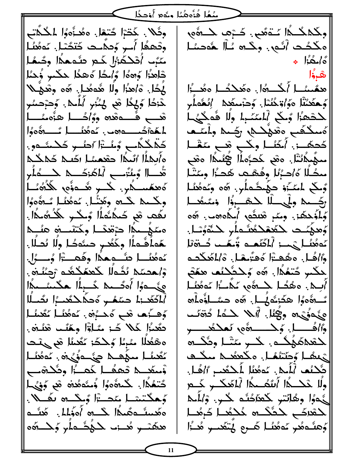وِثَلاً . خَخَرًا حُبْهَا. وهُـزُووُا لِمَكْدَّب وكَعِمُا أُسِرٍ وُحِكْسِتٍ كَتَكَسَّلَ. مُومُئلًا عَبَّبِ أَصْلَحُوْرًا كُــمِ صَنْعِجَاً وصُعُـاً جْاهْ:ا وُهەْا وُاْحُا ەْھكا ھكىر وُھا يُحُل هُ/هٰ: وَلَا هُـُوهُــلِ. هَ٥ وِهْـئِيْـلا خْزَحُا وَلِيَكَا هَي لِيُنُو أَلَمْكَ. وَحَرْحِسُو ثنب ڤَــــەثدە ووُاحُــــا ھأەمُــــا كَمْكُمْبِ وُمُــْتَا اَحسُــو كَــْـشُــەو. وأبطأا ائتما حقدها اختلط كمكل تُفْسَالَ وُمُنَّتَسِي ٱلْمَحْتَصَبِينَ حَسَبَمَلُر ەَھكىسىكَىر. گىبِ ھُــەۋَە كَلاُھُنْــلَا وكَــما كَــُرَه وهَتِــُّـا. مُـهمُّلُـا مُــرَّهُووا ىكَت شى كَىدُمُّەاْ وُمِكْسِ لَكُلُّەمْاً. مئهُـــماً حرْمَنْــا وكتنــــنِ مئـــد ـهَٰمَاٰهُـماۡا وِخۡعُــٰرٖ حـنُمۡصًا واَلا نُصلَا. مُوهُنُـــا عنُـــوهِـدُا وفَعــــٰٓزَا وُـــــرُل. وْاحْصَدْهْ نُشَّەلُلْ خْتْخَطْخْشُمْ رْجِئْنُـْتْقْ. ويُحدَّرُا أُوكَـــمه كَـــرِمُّا هكْـمئــمكَّا ٱلۡكَعۡدۂا حمۡعُــٰڔ ۚ ہۡحَکۡکَـٰـٰہُؚۢٳ ٮثَّـــلَٰا وَقِيَاهَا هُلِي هَجَــُرْهَ. يُوهُنُــا يُقَجِّبُـا دِهُدُا كَلا كَـ; مُـَاوْٓا وِهَّنَـٰ هَدُوْ. مثَرِ بِهَ الْمَعْدَ مَكْمٍ لَهُمْا هُوَ مِنْكُمْ مِنْ الْعَفْعَةِ لَــٰفُمْتُــا مِنْهُــِـمِّــِـمِّــِ مُــهِمِّــهُ لِــٰفَمِّـُـلِّـــا مِــُمِّــُـلِّـــا مِــُم وْسكْكْ دْهْقْـا خْمْــزّا وثْكْرْهْب كَتْعُدًا. گُدەُوا وُمْدُومُون شى وَوْيُها وُهكْتُسْهَ مُحْسَرًا وُحْمَدِ بِفَكِّ ەھَسسْـەھَىدًا گـــــــــه أُەذِّا اِ. ھَسْــــم ھكتىر مُدن كُمُشَـملُرٖ وَكَــمُه

وكُمْكُــدُّا مُــتّْقُبِ. كَــْبْهِ كَـــوُّهِ ەڭگە آئىو. وڭلە مال ھەدىما أَهْلِمُهُ أَ ۿڔۏ۠ؗٳ همْسْلِمْ أَكْتُرْهَا. وَهُكْتُمَا وَهُبْزًا وَحِكْنُنَا وَوَاوْحُلْنَا. وَحَزْمِكُكُمْ ﴾لُحْفَلَهِ لحدْهُ: رُبِّكُمْ إِلْمُمَّبِطْ وِلَا هُمْكُهُمَا ەسككە ەھۇلىكە ركىمە ولمىش كُحكَب: أَحَنُــا وكُبِ شِي مَشْـا مِيجُمُّتْنَا. وَهُمْ يَحْجُومُا كَتَبْجُلُ وَهُم محُلًا هَاجِئُلَ وِقُهْمٍ هَجَٰأَ وَعَشَا أَوُلَّى الْمَنَّزَةِ حَكَّمْكُمْلَىٰ. ۞ه ومُمَعُنُـا المستمر ولمستك المستكرون ومستنبر وَلَمُوَهُدِهُ: وَمَمْ هُلَقُوم أَمَلُهِ مِنْ مَهِ أَوُهٰكُمُت لِلْكُعْفَلُهُ اللَّهُ وَاللَّهُ الْمُتَوَاتِينَ الْمُؤْتِينَ الْمُؤْتِينَ الْمُؤْتِينَ مُعَمَّدُ الْمَسْمَعِينَ فَيَسْمَدُ مِنْ الْمَسْمَدِينَ مِنْ الْمَسْتَرَبّ وَٱاهُـل: هِ هُدْ:ٓا هُ هُ تُوجْدًا. هُ الْمُعَكَّدِ َىكْسِ كَتْعُكْلُ. ۞ وَحْدَثْحُتُم مَعْصْ أبد. وهُصُل حَسوهُ وَ مُحَسِّرًا مُوهُمَا مُــوَّومُ| هَكَبْثُولُــا. وَه حَسَّــاؤُهارُه سنقف لمصْك / اللَّهُ المَعْ وَالْمَوْمِنُ الْمَسْكَمَّاءُ مُتَوَسِّ وَٱاهْــــا. وَحْــــــوهُ مِنْ مُعْلَمُهَــــــو لمقدمَهُكُم. كُــر مَنْـا وفُكّــره يْ بِعْدَا وَجِئْتْنُهُا. مِكْعِثْمِهِ مِكْتُ .<br>كَنْسُم أَلَمْنَ مُوْسُل لَمْتَعْبِ ٱلصَّلِّ. وِلَا خَكَــدًا أَسَّعُــدًا ٱلمَّكَـــو خَـــع لَّهُوا وِهْائتُو كَعَلَاحُثُم كُبْرٍ. وْالْمَطْ |لحقدكے لحفْكسہ حُلامُعا حُرِمُعا أَوُهِنُـهِ مُو مُهْمَـٰلِ كَــرِمِ ۖ يُتَقَدَّبُ ۖ مُدَّا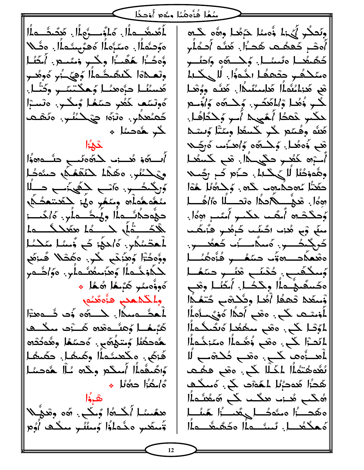لِمُعْمَدِهِ فَلَهُ وَالْمُحَمَّلُ الْمَحْمَدُ وَالْمُسَامَلُهُ وَالْمُسَامَلُهُ وَالْمُسَامَلُهُ ا ەوَحىُّمال. ەممُرُّەمال ەَھۇمىشەمال. ەشَىلا وُّەكْـُٰا هَقَــُٰا وِكْـِرِ وَسَّـــم ِ. ٱكْنُــا وتعــدةا لكَنفُـنفُـدأا وُهيَّــزُو هُوهُــو كَعْسَنُا دَبَّەھنُـا وُـِعَكْتَسَـٰبِ وِكَتْـا. ەُولْسًف خَفْر جسَمًا وُنِكْسٍ. ەلسْتْرَا كَعنُعكَبِ. وَنْزَهُ! حَيْكِنْتُـبٍ. وَنُشْعَب ﯩﯖ**ﻰ ﻣ**ﯘﮬﯩ*ﯩﻠ* ∻ تحجزا أَىـــەَٰذْ هُــــزىـ كــەەنَىـــى حنُـــەەدُا ويُحْسُو. هَكُمْا حْنَفْعُكُمْ حَسَّوَجُا وَوَيْكُمْسِهِ. 26ْبَعِ هِيْكُمْبِ حَسِلًا مُكْمَدْهُمُ وَمُعَكِّرٍ وَلَمْ يَكْمَنْتُمْكُمْ لأَكَـــتُماْكِ حَـــــــهُ لم معَعَمَــدُـــــــه ا لْمَصْلُمُو. هُ/حَوُّ: کَے وُسئل سَکسًا وِوُّەكْتَا وَهِنَدْهِ لِكُنْ وَهُصْلاً قَىنْهَمْ لِلْكُوْخُــٰد*اْ*ا وُهزَىـىغُنـُـٰد*اٰنٖ.* ەَوۡاَضُـٰد ەوۋەمئىر كېْمەل شىملى ولمكلمهم فأهقنهم لْمَشْـــهِمْمَالِ لِكَــــوَّهِ وَ وَ شَـــهِ هِبْزَا كَبُسُما وُهنُــــەتدە كَــــتُو مىڭـــف هُدَهُمُا وُسْلُمُونَ وَحَسُمًا وِهُدَدُه فَرْكَى. مكْعِنْتُمْلَا وكُنْصًا. حَكْنَصًا وَاكْتَخْدَاُ أَسكَم وِكَاه سُأَا حُدْمَنَا ەُاھۇا دەڭل پ ۿ؞ؙٳ همُسُـُـا أَكْــهُا وُـكّــى. هُ٥ وِتَعَهُّـلا وَّمكُنس مَثَّمَلُوُّا وَمِثْلُس مَكْتَ أُوُم

وِنُعِكْرِ أَيْ:ا وُْمِنْا جَرْهُا وِرْهُ كَلِهِ أُهضَرِ كَعفُــمَا هُصَرَٰا. هُننُـه أَصَهْلُر كَتّْكُمْلَا دَنْسْلَ. وُكَسْتُهُ وَأَحْسُنِ مَكْلُم حِثْمَقًا اخْدَوْا. لَا يَكْتَدُو هْمِ هَٰذِاءُنُعَااً هَٰاستُنُداً. هَٰنُـهَ ووُهْـا لْكُسِ ذُهُداً وْاٰلْمُكَسِّنِ وَكُسْمَهِ وَاٰذُهُمْ وَالْمُسْمَرَ حكَّىبِ حْمَحُلٍّ أُسَّيِيكُ أُسبِ وَحْدَّاهُـلْ. كَعْثَهِ وَقُسِّعَ لَكُنْ كَسْعُطْ وَسَنْتًا وَسَسْطَ بْعِ وَمِعْدَلِ وَحْدَثُهِ وَاهِنَّسَ مَنْصَلًا أَسْتِرْهِ كَفَيْسٍ حَكَيْكِمَا. هَي كَسْعُدَ وهُودُنُا لَا يُكْلِدُ. حنَّو كُبِ رَجُّسِلا دَهُنَّا مُمحكُمِهِ حَمْدِهِ وَجِحْمُلا هُمَّا اجهًا. شَيْمُسْلاَحِدًا وتَعْسَلًا هَٱُاهُسَار وُحكْتُـُه أَمُّعُــا لِكُلب أَمُّسْرِ هِءُا. ملَّهِ وَبِ هُذِبَ اكْتَلِّبَ كَرِهُنِي فَيُنَكِّبَ كَرِيْكُنْكُ بِ. ەَمْلَاتْ بَاتْ كَعْقُلْ بِ. ەقىمكەـــــــــەۋّىب ھىنىگىـــــــــو ھُزُەھُنُـــــا وَسِكْفَبٍ . ِ حُدْسًى هَنُسِرِ حَسَمًا. ەكسگىڧىما∫ وڭكىل اىگىلا وقى وْسكَلا دْهَقْا أْمُدا وِثْلَـٰهُـبِ كُنْـمُـٰأِا لَمُوْسَعِي كُلِّ . وَهْلِ أَيْلًا أَوْيُحِيدُواْ ا لْمُوْصَلِ كَلِي. وهَي سِعْفُطِ وَسُكُمَلًا لْمُصْرًا لَكَى وَهُى وُهُـٰعاًا مِمَّرْجُـٰعاًِا لأهــزُّەمِ كُـــي. ەقىب ئُكْــةْمـــي لَا لُعْدِمُتَهَا الْمَحَالِ حَيْ. وقع قصُص هُدُا هُددُرُل لَمَّةَ كَي. هَسْكُتْ ھُكُب ھُـن ھگــا گے ھَـھُكُـملَّا لمسلَّم انْمَسْتَ لِمَسْتَ انْمَصْدَه هُهكُعُـــا. تُىئْـــەلُّا ەكھُىغْـــەلُّا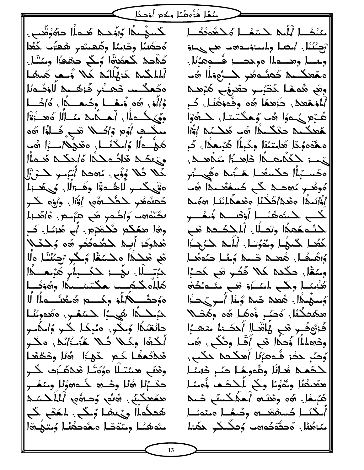لْكُسِهُـبِدَا وَاوَّحْــدْ هُــواْ حَقَوْقُعَبِ. ەَحكىئا وڭابىئا وكەھىئەر ھُھتُف كَفُلا كَمْحِمْ جُعِعُدْةًا وُحَكٍّ حِمْعَةُ! وَعَتْبًا. لْمَلَكْتُمْ خَزْيْلَلْكُمْ كُلّا وُسْعِي كَسْفُتْلْ ەك**ە**ڭىس ئىھىئى ھُز*ىھْى*م لَلۈشە*نل* وُالُوْ. هُء وُجْهُ لِمَ وِحْبِهِ جَالِ. كَاحُــا وَيُكَدَمَلَ فَيَكْدِمَ سَمَالًا وَهِيَوْتَهَ سَكِّــهِ أُوُم وْأَكَـــلا شَــرٍ قَــاؤُا هَء كُوْحَالَ وُالْكُنُّا. دْتَوْبْلاسْتُرَا شْتَ وَيَعْصُمْ شَارَّدُهُ الْمُكْتَمَّةُ مُحْمَرُ كَمَلًا قَمَلًا وُفِّقٍ. مُحْمَدًا أَيْبَسِ لَحَسْنَ لِ هُ اللَّهُ عَامَلُوا وَهَــرَالُوا وَهَــرَا وَلَا يَسْكُلُوهُ وَلَا يَسْكُلُوا وَلَا يَسْكُلُوا وَ كَعِنْدَهُدِ لِحَثَكِ رَّةُو ﴾ إِوَّاً. وِزُوْهِ لَحُــرِ ىگٽەھە ۋاشەر ھە ھۇسىر. ۋاھْدا وهُا مَعَكُم ثَكْثَرَم. أي مُنْتَا. كَ هْدُودُ: أُبِـدْ ۖ لَــقُــٰدَدُرِ ۚ هُ٥ وَلِـلْـَـٰلِا هْجِ هْكِـدًا مِكْـسَةًا وُحِكْبِرْ رَحِسُنْـًا مِلَا حَبِّبِّسَالٍ. تُوجِّعَ حَكَسِيلُو هُبُعْصَدًا كَالْمُكْتُمِّـــا هكْتْسُـــْدَا وِهُوْصُــا حَبِّدَهُا هُيْءُا حَمَّمُو. وهُدوِمُنَا دائقىُكا ۋىڭى. ەئېڭىل ن*ڭى*ر ۋامكْسىر أَكْثُوا وِكَمَا ثَمَا هَنْدُانُما. مكْس هُدۡكُمۡقَا خَـٰمَ ۖ خَيۡءَ ۚ ۖ وَٰٓ وَٰٓ صَفَعۡدا وهْلَى همَّتْىلًا هوُهَٰتُـا هْلاَهُـنُّت ـكْــر حكَــُرُىٰلُ هُـُلْل وحْـــــــه حُـــــــــهوُـُلْل ومـَعْـصُـــب همُعدِكْمَةٍ . هُنُّو وُحدهُو أَلْمَلْكَسُكُ كَمْ بِكَمْهُا . بِكُمْ أَمْكُمْ مِنْ كَمَاهَا مِنْكُمْ مِنْ مثَعَمُّا وِمِنْقَصًا مِعْقَصَمُا وَسَيْخَةَا

مَنْحُــا أَلَمْهِ حَمَمُــا هَحْقُوحُـُــا أبحر رحة معامية مساويد والمعتال والمنافخ ومسا وهسماا دوحصيز فسمحرُمُل. ەھَتىگىم كتشەئىر كىئۇوفا ش وهْعِ هُمصْاً خُتَّبَــرِ حقْدِهْبِ كَبْهِــدْ ٱلمُوْهَمَدِ ۚ. حَزَمَهُمْ هُو وِقَوْوَهُمُا ۖ. كَـرِ هُــْمِ يُــٰهُوا هُــْ وَـعكْـَـٰتِيا. كَــْهُوْا هَعدُ مدْ حدْكَــدا هُــ مُدحَـد الْأَأَ ەھەۋىدا ئىلىتىنا وڭرام ئۇيغۇل كې حَمَدُ الْمَسْمَالِ الْمَحْسَنَةِ مِنْ الْمَحْسَنَةِ . وَكَسِبُهُا حَكْسَعُدا هَـنُها وَفَيْ زُمْ ەُوھُبِر مُەھىم كُنى كَسْمُعُسْمَا اللَّهَ إِذْالُمااً هِتْدَاكْتُمَا هِتْعَمَّالُنُا هَمْ مَ لْكُنِ لِكَنْعَاهُمُنْكُمْ أُوْثَقَـٰكُمْ أُوْصَـٰدُ لحنَّـمعَـمَا وتصـلًا. أَلمـلكــما شَــم كَعُدا كُمِهَا وِثَوْمِها. أَلَمَا حَرَجِةُ! وَاهُىقُـا. هُمْــدْ تَـــدْ وُـنُـا حَدَمُنـا وسَفْلَ. حكَّده حَملاً فَحُــو هُــع حَدــُ إ هَٰذُنُهٗ ۖ إِلَيْ ۖ وَكُلِّي ۖ وَحَدَّثَ وَهُوَ مُحَدَّدُونَ وَسَهَٰمَا). هُعَدَ شَدْ وُسُل أُسوِحُ الْمَرْ ههُمِكْنُا. هُحَبٍّ ؤُههُا هُه وَهُصًا فَرْثَوفَبِ شَي يُاشْرا أَحكَــٰهَا عَمْــَا إِ وِدْهِلْمَاْ وَحِدًا هَي أَقْبا وِئَكُي. هُب وُحَبٍّ حَدٌّ: فَـْءَمَّزُلُمْ أُهكَّـدَهُ حَكْـبٍ. لحثمك هُلْلًا وهُومِهُا حَبْ دَممُا مكَمَعُمُل وغُوُمْل وجَي لِمُحْصَّف وُّومُمُا ۖ كَبُرْهَا. هُه وِهْلُه أَهلُكْسَكِ شَيْدًا أَمْكُنُما كَسِعُقْدِهِ وكُنْفُسا مَتَوَسُلًا |مَنْزَهُنُا. هُحَثَّةَكُده وَحَذَبُكُمْ حَكَّرَهُ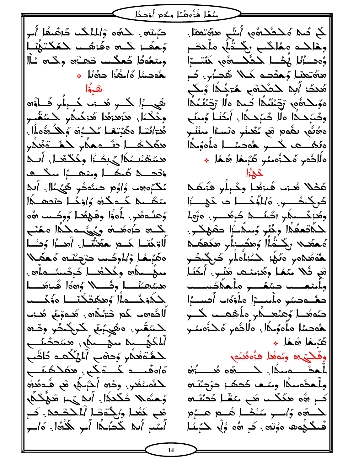دَّبْسْهِ بِ لِـدَهُه وْالْمَلْكُـد كَاهُـنُعَا أُس كَمِيفَة لِمُسْ مَفْتِشَبْ لِمُمَكِّتَهُمْلَا ويتعُمُطُ ضَعكَيب شَعْبَرْهِ وِيْدَهِ بُالْ هُ اللهُ أَاللهُ أَوْ اللهُ مِنْ اللهُ ﴾ **ئگ,ڈا** ــُحَمِيبُــُمْ لَــَـــو هُــــوَت ــَـــوِلَمِ قَــَــاوْهِ وتْكْتُا. ھَ;َھ;ھُا ھُ;گُنگُمْ كَتَنَفُّسِ هُتاالنْــا هكَبْتقــا مُكـــبُرْه وَلِكُـرْهُهَا!. مكدهــا صـُـــممكر حـمـُــتومُكر هـمَنْقَمُـمُـدُا كَـبِكُــرُا وحُـنّـقد. أَبـــد وْتُصِيْكُمْ ضُبْعًا وَعْتَمَتْ إِنْ مَكْنَتُ كَتّْبَهαٮ وُاوُم حَسْدَهُو هَيّْمَالَ. أَبْدَ مَمْشَـــه كَـــمكَّــهَ وَاوْحُــا حِتْحِصَـــهَا وَهنُـهمُدِ. لَمَوُّا وِقَـهِعُدا وُوحَـــد ۞ه بَدْه الْمُكْصَرُونَ وَالْمَحْمَدَ هُكْمَ لَلْقِحْتَــل كَـــعِ حِعَّتْتَــل: أَهـــزُل وَحـُــل ەكبُىما ۋالموڭىيە تىرتىشتە كىمكىلا مىكسىلاھ وڭلىگىما كرگىنگىملاھ. لحكْفِخْـــولَمَا وُهِكْتَحْتَـــا وَذُكَـــب لَٰاهُ٥٥ڡ لَحُم حْتَنُـٰكُمُ٥. هُـٰـءَوۡبَٰۖ هُــٰ;ڡ لكَمَنْقُس. ەھْيْبَمِّ كَمْرَكْمْتُو وَتْسَهَ آلمَكُمُّـــــمِمْ سَكُمْ. مِسْمَحْمَّــــح لِحَقِّتَمُعَهُرٍ وَحَدْبٍ أَلْمَكُمْدَ كَاتَمْبِ هُاهقُـــــــه كَـــــة كَـــه . مككــمَّـمَـــــم لْمُتُمْتُمُو. وَدُه أَكْبُلُه هُمْ قُـهِ هُدَهُ وَهْكُوْمَا وَكُلّْدَا بِهِ أَمْكُمْ الْمُعْلَمَةِ وَمَنْ الْمُحْتَمَى مِنْ مَنْ مَنْ مَنْ مَنْ مَنْ مْبِ كَعُما ورُكَّدْسًا ٱلملكَــْـما. كُــرِ أَمِّد أَبِّلْ لَكَتَّ ذُلَّا أُمِنٍ لَكُنُّهَا. وَأَمِنٍ

لَّى كَمِمْ مَحْشَحْدَةُ لَمْ نَشْيِ هِوَ تَعْقَلْ. وهلك وهلكب ركثه ومأحصر وُّەھىرُّىُل كُھُلى حَفَّكَـــەُّە كَتَسْــْرَا ههُتهْدَا وُحدَّده كَــلا هُدُو. كَــر مَحدَّ أَبِهِ حَثَّدَهْمٍ هُتِيخُهُ! وُحَي هُوَــدهُم رَجّعُنُكُمُّا كَــد هُلَا رْجّعُنُـكُمُّا وِكْتَزِهِـدَا وَلَا كُتَزِهِـدَا). أَيَكْتُـا وَيَنْبَ ەھُنُّە ىڭدە شەڭ ئىگىلو ەتىسال مىللىر وَيُشَـــمَا كُــــرِ حُدَمَـــا مِأْوَدُا ا ەلَاخُەر ەَڪزُەمئر ھُبُعا اھُھَا ﴾ كَصْلا هُـ: فَـ:هُـا وِخُـبِلُوٖ فَنُـكَـهِ صُحِّحْسِبِ. ةَالمُؤْخُــــا د كَهِــــأَا وهَٰذِكُـــمِلَامِ اكْسَـٰــدْ كَـٰهِ هُــــــوِ. ٥ وَالْمَــدِ لِـٰٰكِنَعِفُكُا وِخُبُرٍ وَسِكَسَٰرًا حَمْمِكُـرٍ. هُعفَد رِكْتُمَاْ وُهتَبِيْلُو هكفكك هَٰٓةَهُدَاهِ وَلَهُمْ: لِكُمْزَاءَامَلُو كَعِيْكِمْكُـو هْمِ ثَلا مَمْا وِهَٰنِسْعا هْلُـرٍ. أَمَّلُـا ولمتعسب حنفسو ملعكضيي حَقَّـــوَجِبُينِ وَأَمِيـــِرَّا وَإِلَٰٓوَوَاتَ أَحْسَـــرُّا حَمْعُما وُعِنُعِيكُمْرِ مِلَّعْمِينَ كُنْبَرِ ِ هُوَصِمُا وَأُوَوُبِكَا). وَلَاكُورِ وَكُــرُّومُبُــرِ اكْتُبْعُلْ رُهْجُلْ \* وقطهم ونماط فأهقنهم أَهضَّـــمِماً. لـــــــــةَه هُـــــــزّة وأهثَّمبدًا وسُف حُصصًا حرَّجِئْلُه كَبِ وَهُ مِكْكَــد قْبِ مَخْسًا كَحَسْدَه لمستَهُ وَأَسْبِ مُنْشَا هُسِعْ هَــرُمْ فَىكْيُوهِ وَوُلُهُ . كَرِ هُوَ وُلَّى حُبُمُهُا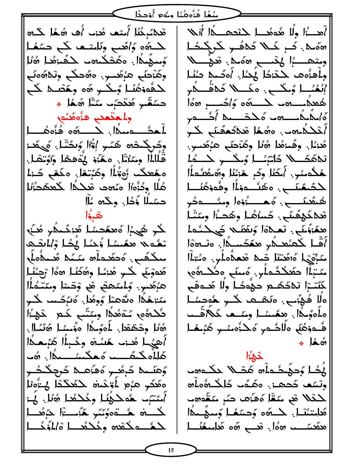سُمُا قُزُوهُمُا مِنُومٍ أَوْحِجُا تَعْطَيُرِهُمُا أَمِنْعَا هُٰذَا أَفْ هُجُا كُلُوهِ أهسُرًا ولَا هُدهُما كِنْصِصِيدًا أَنْكَ لِكْتُوهِ وَاهْبِ وِتَاسْعَهِ كُلِّ حَسَّعًا. 50م . كَـرِ كَــلا كَــاهُــو كَــوجَــمُــا ۇسۇبكال ەڭشكىھە كىگىزۇدا شۇلا وبتھا بُل اس مِنْ مِنْ الْمُسْمَى بِهِ مِنْ وِلْمَأْوَى حَكْرَجُا هُمْاً. أَوَصُّـمْ صُمُّـا وكَنْزْحَبُ هَزْهُمْسِر. ەھُڪَّى وِلْلَاھُەَب إِنْعُنُــا وُحكـــى. مكَــــلا كَلاَقُــــكُمْ لْحُفُوهُمُا وُلِّكُ وَهُ وَهُثَلُّكُمْ لَكُنْ لَ حسَّفُس مُحْحَبُ عَثَلَ هُـهُل ﴾ ولمغمص فأهقنها لْمَشْــــــمْبِكُلْ. بِكَــــرَهُه فُـ;َّهِ صُــــل أَخْلَـٰدُمِّـن، هَ هُمْ شَلاَتُـعَفَّـنَٰـ لَّـُـب وِصَٰحِكُمْدُهِ ۖ هَٰنَـٰرٍ ۖ إِذَٰٓآ ۖ وَىٰحَتْـٰا ۚ ۚ يَٰهَٰذ هُدْمًا. وقَعْرْهُا هُاْ وَهُزْحَكَ هَزْهُمْسِ. قْلَلْمَا وِحَاتًا. مِمَّزَوْ يَقْعِمْا وَآوُتْهَا. تَمَكَّكُمْ كَاتِبُسًا وُحْسِبِ حَسَمًا هُكُومُنِ. أَمَكُلُّ وَكَرٍ هُبْنُلُ وَهُمُعُلَّدَاً! ەكھك ژَوتُماْ وكَبْتقا. ەكقى كَــزلم هُلَا وِدُّوْهُ! مَنْهَتَ شَكْدًا لَكَعْتَقَدَٰزُلَا للصَّمَّسُّــى ، ه هَنُـــه فَا أَبَّــهِ و هُدَوْهُنُــــا حسَّىلًا وُحُلَّ. وكُلُّه عُلَّا هُمُعُمَّــــــــ , هُـمـــــــُزْوْهِ وَمِمَّـــــــه صُو هْدْكُدْهُنَّى . كَسْأَهْلُ وهُدْ:ُا وَسُنْدَلْ كْبِ هَٰيْ}ا ەَھەَدىئا مَّزْكَـٰىلُمْ مَٰـَىٰ هِمُزَوَّمَٰىِ. تَعْدَاهَ وَيَعْتَبُ صَلَّدَهُا تْعُمْلًا مْغْسَلَا ذُخِبًا لِكُلِّ وْٱلْشَـْفَ أَقْبَلَ كَلّْمَنْعَلّْمُ مِمْكَسِيْمَالِ. وتَبْدَهْوَا مِلْكُفِ ِ. كَحَكْمَالُه مِنْمُكُمْ ثَعْمَلُهُمْ مَّتَوْيٌ) هَاهُنْتَا شِكْ شَعْكُمْلُو. هُنَّا مَـٰٓٓٓٓٓٓٓہٰاۤا حَعُكُـثُـٰہ/َہِ ۖ ۚ وَمنَـٰ ۖ وَمثَـٰ ۖ وَہ كَعْدَوْمَةٍ حُكْسٍ هُدْئَىل وَهُكَفَال 10\$ زْجِئْفًا. هَزُهُدِ ۚ. وَاسْتَحَفَّ هُو وْتَـٰتَا وِسَنَـٰهَاْ ا كَتَتْرًا تَمْكَمُكُمْ حَهْدُكُمْ وِلَا مُحْدَقْبِ مَّتِـهُكَا مِتَّمَتَا وُوِهُا. ەُبَكَــْ كُــْر وَلَا قُوْنَبٍ. وَنُشَعَبُ كُلِّرٍ هُوَجِسًا ضُدْهُى سُقَعُدُا مِمْتُبِ لَحْمِ الْمَهُّا ولمُوقَافِ اللَّهُ وَسَمْدًا وَسَمْدًا مُحَمَّقَات هُمُا وحْتّْعْمَا. لَمْوُحْلَا مُؤْمِيْلِ هُنُمَالٍ. فُـدفكُمْ ولَاشُـدم مُكنُّومئــو كَبُـهُـا أَهْلِي الْهَدْبَ هَنْدُهُ وِكْبِلًا هُبْعِهَا  $\bullet$   $\mathop{\text{L\hskip-1pt-}\!\!\!\!\circ}$ كَلْلُهِ كُنْفُــــب هُ هَكْنْشَـــْبِدًا. هُبْ تحلوُّا وُهلُــدا كَـرْهُــِـرِ هُـفَرْهــدا كَـرجـكْـمُــٰـر لَكُما وُحكُمْشُمْلُاه هُشْمًا حكْمُوت وتْسُم كَحْصَرْ. هَكُمُ كَلِكْ هُاهُ الْمَ ەھۡكُم مُرۡم لَمۡقَدَٰه كَـمُكَـدَا لِــَّزُّهُ لَـ أَمَّتَبَت هُمَكُهُّلًا وِخُكْعُدًا هُلُّا. يُج لِلْتَلَالَ هُمْ سَمْقًا هُجَّوَى جَبْرٍ سَقَّوِهِ لْحَـــــة هُــــةهوُمَّى هُنُوـــــْتَ لِكَبِفُــــا هَامتِمُنْكُلّ حَسَنُهُ وَحَسَمًا وَسَهْمِهُمْ لحفَــوكُتْلاه وخُلْخُلَــا وْالْمُوْحُـــا 15